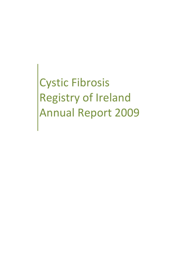Cystic Fibrosis Registry of Ireland Annual Report 2009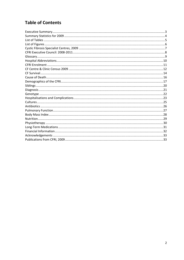## **Table of Contents**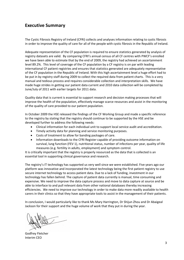### **Executive Summary**

The Cystic Fibrosis Registry of Ireland (CFRI) collects and analyses information relating to cystic fibrosis in order to improve the quality of care for all of the people with cystic fibrosis in the Republic of Ireland.

Adequate representation of the CF population is required to ensure statistics generated by analysis of registry datasets are valid. By comparing CFRI's annual census of all CF centres with PWCF's enrolled we have been able to estimate that by the end of 2009, the registry had achieved an ascertainment level 89.2%. This level of coverage of the CF population by a CF registry is on par with leading international CF patient registries and ensures that statistics generated are adequately representative of the CF population in the Republic of Ireland. With this high ascertainment level a huge effort had to be put in by registry staff during 2009 to collect the required data from patient charts. This is a very manual and tedious process and requires considerable collection and interpretation skills. We have made huge strides in getting our patient data current and 2010 data collection will be completed by June/July of 2011 with earlier targets for 2011 data.

Quality data that is current is essential to support research and decision making processes that will improve the health of the population, effectively manage scarce resources and assist in the monitoring of the quality of care provided to our patient population.

In October 2009 the HSE released the findings of the CF Working Group and made a specific reference to the registry by stating that the registry should continue to be supported by the HSE and be developed further to address the following needs:

- Clinical information for each individual unit to support local service audit and accreditation.
- Timely activity data for planning and service monitoring purposes.
- Costs of treatment to allow for banding packages of care.
- Information downloads to the CFRI Register capable of providing outcome information on survival, lung function (FEV 1), nutritional status, number of infections per year, quality of life measures (e.g. fertility in adults, employment) and symptom control.

It is critically important that the registry is properly resourced as the data that is collected is an essential tool in supporting clinical governance and research.

The registry's IT technology has supported us very well since we were established. Five years ago our platform was innovative and incorporated the latest technology being the first patient registry to use secure internet technology to access patient data. Due to a lack of funding, investment in our technology has fallen behind. The capture of patient data currently is manual, time consuming and expensive. We need to improve the data capture process and move to data capture at source and be able to interface to and pull relevant data from other national databases thereby increasing efficiencies. We need to improve our technology in order to make data more readily available to health carers in their clinics so that they have appropriate tools to assist in the management of their patients.

In conclusion, I would particularly like to thank Ms Mary Harrington, Dr Shijun Zhou and Dr Abaigeal Jackson for their support and the huge volume of work that they put in during the year.

Godfrey Fletcher Interim CEO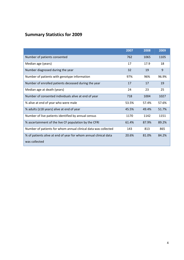# **Summary Statistics for 2009**

|                                                                                   | 2007  | 2008  | 2009  |
|-----------------------------------------------------------------------------------|-------|-------|-------|
| Number of patients consented                                                      | 762   | 1065  | 1105  |
| Median age (years)                                                                | 17    | 17.9  | 18    |
| Number diagnosed during the year                                                  | 32    | 19    | 9     |
| Number of patients with genotype information                                      | 97%   | 96%   | 96.9% |
| Number of enrolled patients deceased during the year                              | 17    | 17    | 19    |
| Median age at death (years)                                                       | 24    | 23    | 25    |
| Number of consented individuals alive at end of year                              | 718   | 1004  | 1027  |
| % alive at end of year who were male                                              | 53.5% | 57.4% | 57.6% |
| % adults (≥18 years) alive at end of year                                         | 45.5% | 49.4% | 51.7% |
| Number of live patients identified by annual census                               | 1170  | 1142  | 1151  |
| % ascertainment of the live CF population by the CFRI                             | 61.4% | 87.9% | 89.2% |
| Number of patients for whom annual clinical data was collected                    | 143   | 813   | 865   |
| % of patients alive at end of year for whom annual clinical data<br>was collected | 20.6% | 81.0% | 84.2% |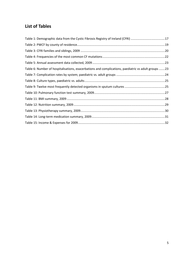## **List of Tables**

| Table 1: Demographic data from the Cystic Fibrosis Registry of Ireland (CFRI) 17                    |  |
|-----------------------------------------------------------------------------------------------------|--|
|                                                                                                     |  |
|                                                                                                     |  |
|                                                                                                     |  |
|                                                                                                     |  |
| Table 6: Number of hospitalisations, exacerbations and complications, paediatric vs adult groups 23 |  |
|                                                                                                     |  |
|                                                                                                     |  |
|                                                                                                     |  |
|                                                                                                     |  |
|                                                                                                     |  |
|                                                                                                     |  |
|                                                                                                     |  |
|                                                                                                     |  |
|                                                                                                     |  |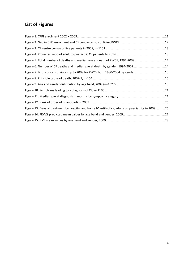# **List of Figures**

| Figure 5: Total number of deaths and median age at death of PWCF, 1994-2009 14                     |  |
|----------------------------------------------------------------------------------------------------|--|
| Figure 6: Number of CF deaths and median age at death by gender, 1994-200914                       |  |
| Figure 7: Birth cohort survivorship to 2009 for PWCF born 1980-2004 by gender15                    |  |
|                                                                                                    |  |
|                                                                                                    |  |
|                                                                                                    |  |
|                                                                                                    |  |
|                                                                                                    |  |
| Figure 13: Days of treatment by hospital and home IV antibiotics, adults vs. paediatrics in 200926 |  |
|                                                                                                    |  |
|                                                                                                    |  |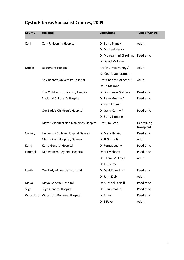# **Cystic Fibrosis Specialist Centres, 2009**

| County        | <b>Hospital</b>                         | <b>Consultant</b>        | <b>Type of Centre</b>    |
|---------------|-----------------------------------------|--------------------------|--------------------------|
| Cork          | <b>Cork University Hospital</b>         | Dr Barry Plant /         | Adult                    |
|               |                                         | Dr Michael Henry         |                          |
|               |                                         | Dr Muireann ní Chroínín/ | Paediatric               |
|               |                                         | Dr David Mullane         |                          |
| <b>Dublin</b> | <b>Beaumont Hospital</b>                | Prof NG McElvaney /      | Adult                    |
|               |                                         | Dr Cedric Gunaratnam     |                          |
|               | St Vincent's University Hospital        | Prof Charles Gallagher/  | Adult                    |
|               |                                         | Dr Ed McKone             |                          |
|               | The Children's University Hospital      | Dr Dubhfeasa Slattery    | Paediatric               |
|               | National Children's Hospital            | Dr Peter Greally /       | Paediatric               |
|               |                                         | Dr Basil Elnazir         |                          |
|               | Our Lady's Children's Hospital          | Dr Gerry Canny /         | Paediatric               |
|               |                                         | Dr Barry Linnane         |                          |
|               | Mater Misericordiae University Hospital | Prof Jim Egan            | Heart/lung<br>transplant |
| Galway        | University College Hospital Galway      | Dr Mary Herzig           | Paediatric               |
|               | Merlin Park Hospital, Galway            | Dr JJ Gilmartin          | Adult                    |
| Kerry         | Kerry General Hospital                  | Dr Fergus Leahy          | Paediatric               |
| Limerick      | Midwestern Regional Hospital            | Dr MJ Mahony             | Paediatric               |
|               |                                         | Dr Eithne Mulloy /       | Adult                    |
|               |                                         | Dr TH Peirce             |                          |
| Louth         | Our Lady of Lourdes Hospital            | Dr David Vaughan         | Paediatric               |
|               |                                         | Dr John Kiely            | Adult                    |
| Mayo          | Mayo General Hospital                   | Dr Michael O'Neill       | Paediatric               |
| Sligo         | Sligo General Hospital                  | Dr R Tummaluru           | Paediatric               |
|               | Waterford Waterford Regional Hospital   | Dr A Das                 | Paediatric               |
|               |                                         | Dr S Foley               | Adult                    |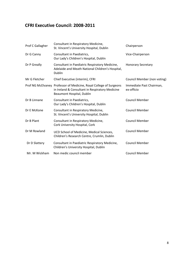## **CFRI Executive Council: 2008-2011**

| Prof C Gallagher | Consultant in Respiratory Medicine,<br>St. Vincent's University Hospital, Dublin                                                                   | Chairperson                            |
|------------------|----------------------------------------------------------------------------------------------------------------------------------------------------|----------------------------------------|
| Dr G Canny       | Consultant in Paediatrics,<br>Our Lady's Children's Hospital, Dublin                                                                               | Vice-Chairperson                       |
| Dr P Greally     | Consultant in Paediatric Respiratory Medicine,<br>Adelaide and Meath National Children's Hospital,<br><b>Dublin</b>                                | <b>Honorary Secretary</b>              |
| Mr G Fletcher    | Chief Executive (interim), CFRI                                                                                                                    | Council Member (non voting)            |
|                  | Prof NG McElvaney Professor of Medicine, Royal College of Surgeons<br>in Ireland & Consultant in Respiratory Medicine<br>Beaumont Hospital, Dublin | Immediate Past Chairman,<br>ex-officio |
| Dr B Linnane     | Consultant in Paediatrics,<br>Our Lady's Children's Hospital, Dublin                                                                               | <b>Council Member</b>                  |
| Dr E McKone      | Consultant in Respiratory Medicine,<br>St. Vincent's University Hospital, Dublin                                                                   | <b>Council Member</b>                  |
| Dr B Plant       | Consultant in Respiratory Medicine,<br>Cork University Hospital, Cork                                                                              | <b>Council Member</b>                  |
| Dr M Rowland     | UCD School of Medicine, Medical Sciences,<br>Children's Research Centre, Crumlin, Dublin                                                           | <b>Council Member</b>                  |
| Dr D Slattery    | Consultant in Paediatric Respiratory Medicine,<br>Children's University Hospital, Dublin                                                           | <b>Council Member</b>                  |
| Mr. M Wickham    | Non medic council member                                                                                                                           | <b>Council Member</b>                  |
|                  |                                                                                                                                                    |                                        |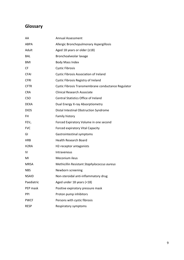## **Glossary**

| AA                | Annual Assessment                                   |
|-------------------|-----------------------------------------------------|
| ABPA              | Allergic Bronchopulmonary Aspergillosis             |
| Adult             | Aged 18 years or older ( $\geq$ 18)                 |
| <b>BAL</b>        | Bronchoalveolar lavage                              |
| <b>BMI</b>        | <b>Body Mass Index</b>                              |
| <b>CF</b>         | <b>Cystic Fibrosis</b>                              |
| <b>CFAI</b>       | <b>Cystic Fibrosis Association of Ireland</b>       |
| <b>CFRI</b>       | Cystic Fibrosis Registry of Ireland                 |
| <b>CFTR</b>       | Cystic Fibrosis Transmembrane conductance Regulator |
| <b>CRA</b>        | <b>Clinical Research Associate</b>                  |
| <b>CSO</b>        | <b>Central Statistics Office of Ireland</b>         |
| <b>DEXA</b>       | Dual Energy X-ray Absorptiometry                    |
| <b>DIOS</b>       | Distal Intestinal Obstruction Syndrome              |
| <b>FH</b>         | Family history                                      |
| FEV <sub>1</sub>  | Forced Expiratory Volume in one second              |
| <b>FVC</b>        | Forced expiratory Vital Capacity                    |
| GI                | Gastrointestinal symptoms                           |
| <b>HRB</b>        | <b>Health Research Board</b>                        |
| H <sub>2</sub> RA | H2-receptor antagonists                             |
| IV                | Intravenous                                         |
| MI                | Meconium ileus                                      |
| <b>MRSA</b>       | Methicillin Resistant Staphylococcus aureus         |
| <b>NBS</b>        | Newborn screening                                   |
| <b>NSAID</b>      | Non-steroidal anti-inflammatory drug                |
| Paediatric        | Aged under 18 years (<18)                           |
| PEP mask          | Positive expiratory pressure mask                   |
| PPI               | Proton pump inhibitors                              |
| <b>PWCF</b>       | Persons with cystic fibrosis                        |
| <b>RESP</b>       | Respiratory symptoms                                |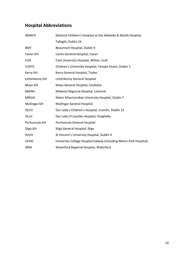## **Hospital Abbreviations**

| <b>AMNCH</b>        | National Children's Hospital at the Adelaide & Meath Hospital,      |
|---------------------|---------------------------------------------------------------------|
|                     | Tallaght, Dublin 24                                                 |
| <b>BMT</b>          | Beaumont Hospital, Dublin 9                                         |
| Cavan GH            | Cavan General Hospital, Cavan                                       |
| <b>CUH</b>          | Cork University Hospital, Wilton, Cork                              |
| <b>CUHTS</b>        | Children's University Hospital, Temple Street, Dublin 1             |
| Kerry GH            | Kerry General Hospital, Tralee                                      |
| Letterkenny GH      | Letterkenny General Hospital                                        |
| Mayo GH             | Mayo General Hospital, Castlebar                                    |
| <b>MWRH</b>         | Midwest Regional Hospital, Limerick                                 |
| <b>MMUH</b>         | Mater Misericordiae University Hospital, Dublin 7                   |
| <b>Mullingar GH</b> | <b>Mullingar General Hospital</b>                                   |
| <b>OLCH</b>         | Our Lady's Children's Hospital, Crumlin, Dublin 12                  |
| OLLH                | Our Lady of Lourdes Hospital, Drogheda                              |
| Portiuncula GH      | Portiuncula General Hospital                                        |
| Sligo GH            | Sligo General Hospital, Sligo                                       |
| <b>SVUH</b>         | St Vincent's University Hospital, Dublin 4                          |
| <b>UCHG</b>         | University College Hospital Galway (including Merlin Park Hospital) |
| <b>WRH</b>          | Waterford Regional Hospital, Waterford                              |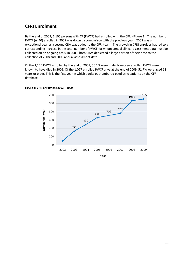### **CFRI Enrolment**

By the end of 2009, 1,105 persons with CF (PWCF) had enrolled with the CFRI (Figure 1). The number of PWCF (n=40) enrolled in 2009 was down by comparison with the previous year. 2008 was an exceptional year as a second CRA was added to the CFRI team. The growth in CFRI enrolees has led to a corresponding increase in the total number of PWCF for whom annual clinical assessment data must be collected on an ongoing basis. In 2009, both CRAs dedicated a large portion of their time to the collection of 2008 and 2009 annual assessment data.

Of the 1,105 PWCF enrolled by the end of 2009, 56.1% were male. Nineteen enrolled PWCF were known to have died in 2009. Of the 1,027 enrolled PWCF alive at the end of 2009, 51.7% were aged 18 years or older. This is the first year in which adults outnumbered paediatric patients on the CFRI database.



#### **Figure 1: CFRI enrolment 2002 – 2009**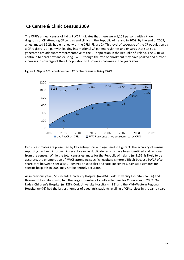### **CF Centre & Clinic Census 2009**

The CFRI's annual census of living PWCF indicates that there were 1,151 persons with a known diagnosis of CF attending CF centres and clinics in the Republic of Ireland in 2009. By the end of 2009, an estimated 89.2% had enrolled with the CFRI (Figure 2). This level of coverage of the CF population by a CF registry is on par with leading international CF patient registries and ensures that statistics generated are adequately representative of the CF population in the Republic of Ireland. The CFRI will continue to enrol new and existing PWCF, though the rate of enrolment may have peaked and further increases in coverage of the CF population will prove a challenge in the years ahead.



#### **Figure 2: Gap in CFRI enrolment and CF centre census of living PWCF**

Census estimates are presented by CF centre/clinic and age band in Figure 3. The accuracy of census reporting has been improved in recent years as duplicate records have been identified and removed from the census. While the total census estimate for the Republic of Ireland (n=1151) is likely to be accurate, the enumeration of PWCF attending specific hospitals is more difficult because PWCF often share care between specialist CF centres or specialist and satellite centres. Census estimates for specific hospitals in 2009 may not be entirely accurate.

As in previous years, St Vincents University Hospital (n=286), Cork University Hospital (n=106) and Beaumont Hospital (n=88) had the largest number of adults attending for CF services in 2009. Our Lady's Children's Hospital (n=128), Cork University Hospital (n=83) and the Mid-Western Regional Hospital (n=76) had the largest number of paediatric patients availing of CF services in the same year.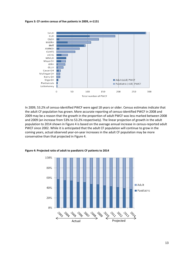**Figure 3: CF centre census of live patients in 2009, n=1151** 



In 2009, 53.2% of census-identified PWCF were aged 18 years or older. Census estimates indicate that the adult CF population has grown. More accurate reporting of census-identified PWCF in 2008 and 2009 may be a reason that the growth in the proportion of adult PWCF was less marked between 2008 and 2009 (an increase from 53% to 53.2% respectively). The linear projection of growth in the adult population to 2014 shown in Figure 4 is based on the average annual increase in census-reported adult PWCF since 2002. While it is anticipated that the adult CF population will continue to grow in the coming years, actual observed year-on-year increases in the adult CF population may be more conservative than that projected in Figure 4.



**Figure 4: Projected ratio of adult to paediatric CF patients to 2014**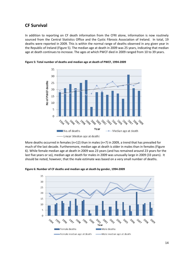### **CF Survival**

In addition to reporting on CF death information from the CFRI alone, information is now routinely sourced from the Central Statistics Office and the Cystic Fibrosis Association of Ireland. In total, 19 deaths were reported in 2009. This is within the normal range of deaths observed in any given year in the Republic of Ireland (Figure 5). The median age at death in 2009 was 25 years, indicating that median age at death continues to increase. The ages at which PWCF died in 2009 ranged from 10 to 39 years.



**Figure 5: Total number of deaths and median age at death of PWCF, 1994-2009** 

More deaths occurred in females (n=12) than in males (n=7) in 2009, a trend that has prevailed for much of the last decade. Furtheremore, median age at death is older in males than in females (Figure 6). While female median age at death in 2009 was 23 years (and has remained around 23 years for the last five years or so), median age at death for males in 2009 was unusually large in 2009 (33 years). It should be noted, however, that the male estimate was based on a very small number of deaths.

**Figure 6: Number of CF deaths and median age at death by gender, 1994-2009** 

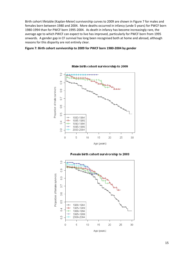Birth cohort lifetable (Kaplan-Meier) survivorship curves to 2009 are shown in Figure 7 for males and females born between 1980 and 2004. More deaths occurred in infancy (unde 5 years) for PWCF born 1980-1994 than for PWCF born 1995-2004. As death in infancy has become increasingly rare, the average age to which PWCF can expect to live has improved, particularly for PWCF born from 1995 onwards. A gender gap in CF survival has long been recognised both at home and abroad, although reasons for this disparity are not entirely clear.

#### **Figure 7: Birth cohort survivorship to 2009 for PWCF born 1980-2004 by gender**



#### Male birth cohort survivorship to 2009



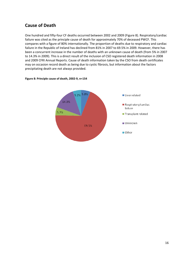### **Cause of Death**

One hundred and fifty-four CF deaths occurred between 2002 and 2009 (Figure 8). Respiratory/cardiac failure was cited as the principle cause of death for approximately 70% of deceased PWCF. This compares with a figure of 80% internationally. The proportion of deaths due to respiratory and cardiac failure in the Republic of Ireland has declined from 81% in 2007 to 69.5% in 2009. However, there has been a concurrent increase in the number of deaths with an unknown cause of death (from 5% in 2007 to 14.3% in 2009). This is a direct result of the inclusion of CSO registered death information in 2008 and 2009 CFRI Annual Reports. Cause of death information taken by the CSO from death certificates may on occasion record death as being due to cystic fibrosis, but information about the factors precipitating death are not always provided.



#### **Figure 8: Principle cause of death, 2002-9, n=154**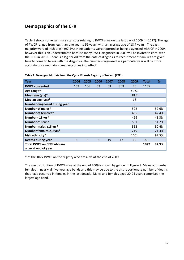### **Demographics of the CFRI**

Table 1 shows some summary statistics relating to PWCF alive on the last day of 2009 (n=1027). The age of PWCF ranged from less than one year to 59 years, with an average age of 18.7 years. The vast majority were of Irish origin (97.5%). Nine patients were reported as being diagnosed with CF in 2009, however this is an underestimate because many PWCF diagnosed in 2009 will be invited to enrol with the CFRI in 2010. There is a lag period from the date of diagnosis to recruitment as families are given time to come to terms with the diagnosis. The numbers diagnosed in a particular year will be more accurate once neonatal screening comes into effect.

| Year                              | 2004 | 2005 | 2006 | 2007 | 2008 | 2009   | <b>Total</b> | %     |
|-----------------------------------|------|------|------|------|------|--------|--------------|-------|
| <b>PWCF consented</b>             | 159  | 166  | 53   | 53   | 303  | 40     | 1105         |       |
| Age range*                        |      |      |      |      |      | $1-59$ |              |       |
| Mean age (yrs)*                   |      |      |      |      |      | 18.7   |              |       |
| Median age (yrs)*                 |      |      |      |      |      | 18     |              |       |
| Number diagnosed during year      |      |      |      |      |      | 9      |              |       |
| Number of males*                  |      |      |      |      |      | 592    |              | 57.6% |
| Number of females*                |      |      |      |      |      | 435    |              | 42.4% |
| Number <18 yrs*                   |      |      |      |      |      | 496    |              | 48.3% |
| Number ≥18 yrs*                   |      |      |      |      |      | 531    |              | 51.7% |
| Number males ≥18 yrs*             |      |      |      |      |      | 312    |              | 30.4% |
| Number females ≥18yrs*            |      |      |      |      |      | 219    |              | 21.3% |
| Irish ethnicity*                  |      |      |      |      |      | 1001   |              | 97.5% |
| <b>Deaths during year</b>         | 5    | 9    | 5    | 19   | 17   | 19     | 80           |       |
| <b>Total PWCF on CFRI who are</b> |      |      |      |      |      |        | 1027         | 92.9% |
| alive at end of year              |      |      |      |      |      |        |              |       |

#### **Table 1: Demographic data from the Cystic Fibrosis Registry of Ireland (CFRI)**

\* of the 1027 PWCF on the registry who are alive at the end of 2009

The age distribution of PWCF alive at the end of 2009 is shown by gender in Figure 8. Males outnumber females in nearly all five-year age bands and this may be due to the disproportionate number of deaths that have occurred in females in the last decade. Males and females aged 20-24 years comprised the largest age band.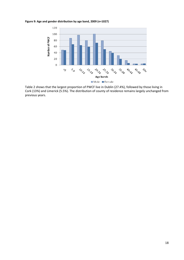**Figure 9: Age and gender distribution by age band, 2009 (n=1027)** 



Table 2 shows that the largest proportion of PWCF live in Dublin (27.4%), followed by those living in Cork (13%) and Limerick (5.5%). The distribution of county of residence remains largely unchanged from previous years.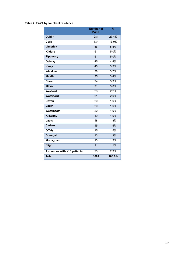#### **Table 2: PWCF by county of residence**

|                              | <b>Number of</b><br><b>PWCF</b> | $\frac{9}{6}$ |
|------------------------------|---------------------------------|---------------|
| <b>Dublin</b>                | 281                             | 27.4%         |
| <b>Cork</b>                  | 134                             | 13.0%         |
| <b>Limerick</b>              | 56                              | 5.5%          |
| <b>Kildare</b>               | 51                              | 5.0%          |
| <b>Tipperary</b>             | 51                              | 5.0%          |
| Galway                       | 45                              | 4.4%          |
| <b>Kerry</b>                 | 40                              | 3.9%          |
| <b>Wicklow</b>               | 38                              | 3.7%          |
| <b>Meath</b>                 | 35                              | 3.4%          |
| Clare                        | 34                              | 3.3%          |
| <b>Mayo</b>                  | 31                              | 3.0%          |
| Wexford                      | 23                              | 2.2%          |
| Waterford                    | 21                              | 2.0%          |
| Cavan                        | 20                              | 1.9%          |
| Louth                        | 20                              | 1.9%          |
| Westmeath                    | 20                              | 1.9%          |
| Kilkenny                     | 19                              | 1.9%          |
| Laois                        | 18                              | 1.8%          |
| <b>Carlow</b>                | 15                              | 1.5%          |
| <b>Offaly</b>                | 15                              | 1.5%          |
| <b>Donegal</b>               | 13                              | 1.3%          |
| Monaghan                     | 13                              | 1.3%          |
| <b>Sligo</b>                 | 11                              | 1.1%          |
| 4 counties with <10 patients | 23                              | 2.3%          |
| <b>Total</b>                 | 1004                            | 100.0%        |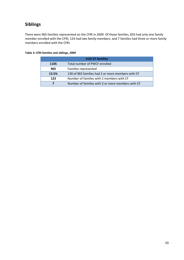## **Siblings**

There were 965 families represented on the CFRI in 2009. Of those families, 835 had only one family member enrolled with the CFRI, 124 had two family members, and 7 families had three or more family members enrolled with the CFRI.

|       | <b>Irish CF families</b>                          |
|-------|---------------------------------------------------|
| 1105  | Total number of PWCF enrolled                     |
| 965   | Families represented                              |
| 13.5% | 130 of 965 families had 2 or more members with CF |
| 123   | Number of families with 2 members with CF         |
|       | Number of families with 3 or more members with CF |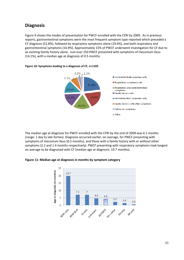### **Diagnosis**

Figure 9 shows the modes of presentation for PWCF enrolled with the CFRI by 2009. As in previous reports, gastrointestinal symptoms were the most frequent symptom type reported which preceded a CF diagnosis (22.8%), followed by respiratory symptoms alone (19.6%), and both respiratory and gastrointestinal symptoms (16.9%). Approximately 15% of PWCF underwent investigation for CF due to an existing family history alone. Just over 150 PWCF presented with symptoms of meconium ileus (14.1%), with a median age at diagnosis of 0.5 months.



#### **Figure 10: Symptoms leading to a diagnosis of CF, n=1105**

The median age at diagnosis for PWCF enrolled with the CFRI by the end of 2009 was 4.1 months (range: 1 day to late forties). Diagnosis occurred earlier, on average, for PWCF presenting with symptoms of meconium ileus (0.5 months), and those with a family history with or without other symptoms (2.2 and 1.4 months respectively). PWCF presenting with respiratory symptoms took longest on average to be diagnosed with CF (median age at diagnosis: 19.7 months).

**Figure 11: Median age at diagnosis in months by symptom category** 

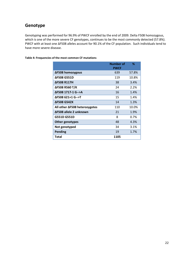### **Genotype**

Genotyping was performed for 96.9% of PWCF enrolled by the end of 2009. Delta F508 homozygous, which is one of the more severe CF genotypes, continues to be the most commonly detected (57.8%). PWCF with at least one ∆F508 alleles account for 90.1% of the CF population. Such individuals tend to have more severe disease.

|                               | Number of<br><b>PWCF</b> | ℅     |
|-------------------------------|--------------------------|-------|
| ΔF508 homozygous              | 639                      | 57.8% |
| ΔF508 G551D                   | 119                      | 10.8% |
| <b>ΔF508 R117H</b>            | 38                       | 3.4%  |
| ΔF508 R560 T/K                | 24                       | 2.2%  |
| ΔF508 1717-1 G-->A            | 16                       | 1.4%  |
| ΔF508 621+1 G-->T             | 15                       | 1.4%  |
| <b>AF508 G542X</b>            | 14                       | 1.3%  |
| All other ∆F508 heterozygotes | 110                      | 10.0% |
| ΔF508 allele 2 unknown        | 21                       | 1.9%  |
| G551D G551D                   | 8                        | 0.7%  |
| Other genotypes               | 48                       | 4.3%  |
| Not genotyped                 | 34                       | 3.1%  |
| <b>Pending</b>                | 19                       | 1.7%  |
| Total                         | 1105                     |       |

**Table 4: Frequencies of the most common CF mutations**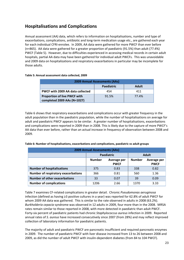### **Hospitalisations and Complications**

Annual assessment (AA) data, which refers to information on hospitalisations, number and type of exacerbations, complications, antibiotic and long-term medication usage etc., are gathered each year for each individual CFRI-enrolee. In 2009, AA data were gathered for more PWCF than ever before (n=865). AA data were gathered for a greater proportion of paediatric (91.5%) than adult (77.4%) PWCF (Table 5). However, due to difficulties experienced in accessing medical records in certain adult hospitals, partial AA data may have been gathered for individual adult PWCFs. This was unavoidable and 2009 data on hospitalizations and respiratory exacerbations in particular may be incomplete for those adults.

#### **Table 5: Annual assessment data collected, 2009**

| <b>2009 Annual Assessments (AAs)</b>                               |       |       |  |  |
|--------------------------------------------------------------------|-------|-------|--|--|
| <b>Adult</b><br><b>Paediatric</b>                                  |       |       |  |  |
| PWCF with 2009 AA data collected                                   | 454   | 411   |  |  |
| <b>Proportion of live PWCF with</b><br>completed 2009 AAs (N=1027) | 91.5% | 77.4% |  |  |

Table 6 shows that respiratory exacerbations and complications occur with greater frequency in the adult population than in the paediatric population, while the number of hospitalisations on average for adult and paediatric PWCF appears to be similar. A greater number of hospitalisations, exacerbations and complications were reported in 2009 than in 2008. This is likely due to the capture of more PWCF's AA data than ever before, rather than an actual increase in frequency of observation between 2008 and 2009.

| <b>2009 Annual Assessments (AAs)</b>       |               |                            |               |                            |  |
|--------------------------------------------|---------------|----------------------------|---------------|----------------------------|--|
|                                            |               | <b>Paediatric</b>          |               | <b>Adult</b>               |  |
|                                            | <b>Number</b> | Average per<br><b>PWCF</b> | <b>Number</b> | Average per<br><b>PWCF</b> |  |
| <b>Number of hospitalisations</b>          | 375           | 0.83                       | 338           | 0.82                       |  |
| <b>Number of respiratory exacerbations</b> | 366           | 0.81                       | 560           | 1.36                       |  |
| <b>Number of other exacerbations</b>       | 33            | 0.07                       | 39            | 0.09                       |  |
| <b>Number of complications</b>             | 1206          | 2.66                       | 1370          | 3.33                       |  |

#### **Table 6: Number of hospitalisations, exacerbations and complications, paediatric vs adult groups**

Table 7 examines CF-related complications in greater detail. Chronic *Pseudomonas aeruginosa* infection (defined as having ≥3 positive cultures in a year) was reported for 62.8% of adult PWCF for whom 2009 AA data was gathered. This is similar to the rate observed in adults in 2008 (63.2%). *Burkholderia cepacia* syndrome was observed in 12 adults in 2009, four more than in the 2008. MRSA rates remain similar to those reported in 2008, with more detected in paediatric than adult PWCF. Forty-six percent of paediatric patients had chronic *Staphylococcus aureus* infection in 2009. Reported annual rates of *S. aureus* have increased consecutively since 2007 (from 28%) and may reflect improved collection of laboratory information for paediatric patients.

The majority of adult and paediatric PWCF are pancreatic insufficient and required pancreatic enzymes in 2009. The number of paediatric PWCF with liver disease increased from 13 to 26 between 2008 and 2009, as did the number of adult PWCF with insulin-dependent diabetes (from 84 to 104 PWCF).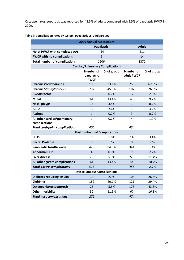Osteopenia/osteoporosis was reported for 43.3% of adults compared with 5.5% of paediatric PWCF in 2009.

| <b>2009 Annual Assessment</b>                |                                               |            |                                |            |  |
|----------------------------------------------|-----------------------------------------------|------------|--------------------------------|------------|--|
|                                              | <b>Paediatric</b>                             |            | <b>Adult</b>                   |            |  |
| No of PWCF with completed AAs                | 454                                           |            | 411                            |            |  |
| <b>PWCF with no complications</b>            | 6                                             |            | 14                             |            |  |
| <b>Total number of complications</b>         | 1206                                          |            | 1370                           |            |  |
|                                              | <b>Cardiac/Pulmonary Complications</b>        |            |                                |            |  |
|                                              | <b>Number of</b><br>paediatric<br><b>PWCF</b> | % of group | <b>Number of</b><br>adult PWCF | % of group |  |
| <b>Chronic Pseudomonas</b>                   | 105                                           | 23.1%      | 258                            | 62.8%      |  |
| <b>Chronic Staphylococcus</b>                | 207                                           | 45.6%      | 107                            | 26.0%      |  |
| <b>Burkholderia</b>                          | $\overline{3}$                                | 0.7%       | 12                             | 2.9%       |  |
| <b>MRSA</b>                                  | 61                                            | 13.4%      | 40                             | 9.7%       |  |
| <b>Nasal polyps</b>                          | 16                                            | 3.5%       | $\mathbf{1}$                   | 0.2%       |  |
| <b>ABPA</b>                                  | 12                                            | 2.6%       | 13                             | 3.2%       |  |
| <b>Asthma</b>                                | $\mathbf{1}$                                  | 0.2%       | $\overline{3}$                 | 0.7%       |  |
| All other cardiac/pulmonary<br>complications | $\mathbf{1}$                                  | 0.2%       | 4                              | 1.0%       |  |
| <b>Total card/pulm complications</b>         | 406                                           |            | 434                            |            |  |
|                                              | <b>Gastrointestinal Complications</b>         |            |                                |            |  |
| <b>DIOS</b>                                  | 8                                             | 1.8%       | 14                             | 3.4%       |  |
| <b>Rectal Prolapse</b>                       | $\overline{0}$                                | 0%         | $\overline{0}$                 | 0%         |  |
| <b>Pancreatic Insufficiency</b>              | 429                                           | 94.5%      | 341                            | 83%        |  |
| <b>Abnormal LFTs</b>                         | $\overline{4}$                                | 0.9%       | 9                              | 2.2%       |  |
| Liver disease                                | 26                                            | 5.9%       | 58                             | 11.4%      |  |
| All other gastro complications               | 61                                            | 13.4%      | 44                             | 10.7%      |  |
| <b>Total gastro complications</b>            | 528                                           |            | 458                            | 2.7%       |  |
|                                              | <b>Miscellaneous Complications</b>            |            |                                |            |  |
| <b>Diabetes requiring insulin</b>            | 13                                            | 2.9%       | 108                            | 26.3%      |  |
| Clubbing                                     | 182                                           | 40.1%      | 121                            | 29.4%      |  |
| Osteopenia/osteoporosis                      | 25                                            | 5.5%       | 178                            | 43.3%      |  |
| <b>Other morbidity</b>                       | 52                                            | 11.5%      | 67                             | 16.3%      |  |
| <b>Total misc complications</b>              | 272                                           |            | 474                            |            |  |

#### **Table 7: Complication rates by system; paediatric vs. adult groups**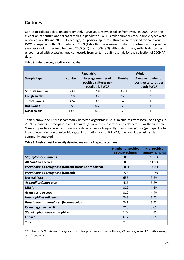## **Cultures**

CFRI staff collected data on approximately 7,100 sputum swabs taken from PWCF in 2009. With the exception of sputum and throat samples in paediatric PWCF, similar numbers of all sample types were recorded in 2008 and 2009. On average, 7.8 positive sputum cultures were reported for paediatric PWCF compared with 8.3 for adults in 2009 (Table 8). The average number of sputum culture positive samples in adults declined between 2008 (9.0) and 2009 (8.3), although this may reflects difficulties encountered with accessing medical records from certain adult hospitals for the collection of 2009 AA data.

#### **Table 8: Culture types, paediatric vs. adults**

|                       | <b>Paediatric</b> |                                                               |               | <b>Adult</b>                                             |
|-----------------------|-------------------|---------------------------------------------------------------|---------------|----------------------------------------------------------|
| Sample type           | <b>Number</b>     | Average number of<br>positive cultures per<br>paediatric PWCF | <b>Number</b> | Average number of<br>positive cultures per<br>adult PWCF |
| <b>Sputum samples</b> | 3739              | 7.8                                                           | 3364          | 8.3                                                      |
| <b>Cough swabs</b>    | 1518              | 3.2                                                           | 125           | 0.3                                                      |
| <b>Throat swabs</b>   | 1474              | 3.1                                                           | 49            | 0.1                                                      |
| <b>BAL swabs</b>      | 85                | 0.2                                                           | 26            | 0.1                                                      |
| <b>Nasal swabs</b>    | 137               | 0.3                                                           | 21            | 0.1                                                      |

Table 9 shows the 12 most commonly detected organisms in sputum cultures from PWCF of all ages in 2009. *S. aureus*, *P. aeruginosa* and *Candida sp.* were the most frequently detected. For the first time, *S. aureus* positive sputum cultures were detected more frequently than *P. aeruginos*a (perhaps due to incomplete collection of microbiological information for adult PWCF, in whom *P. aeruginosa* is commonly detected.)

**Table 9: Twelve most frequently detected organisms in sputum cultures** 

|                                                     | <b>Number of positive</b> | % of positive   |
|-----------------------------------------------------|---------------------------|-----------------|
|                                                     | sputum cultures           | sputum cultures |
| <b>Staphylococcus aureus</b>                        | 1063                      | 15.0%           |
| All Candida species                                 | 1058                      | 14.9%           |
| Pseudomonas aeruginosa (Mucoid status not reported) | 1051                      | 14.8%           |
| Pseudomonas aeruginosa (Mucoid)                     | 728                       | 10.2%           |
| <b>Normal flora</b>                                 | 656                       | 9.2%            |
| Aspergillus fumagatus                               | 415                       | 5.8%            |
| <b>MRSA</b>                                         | 329                       | 4.6%            |
| Gram positive cocci                                 | 310                       | 4.4%            |
| <b>Haemophilius influenza</b>                       | 248                       | 3.5%            |
| Pseudomonas aeruginosa (Non-mucoid)                 | 241                       | 3.4%            |
| Gram negative bacilli                               | 210                       | 3.0%            |
| Stenotrophomonas maltophilia                        | 172                       | 2.4%            |
| Other*                                              | 622                       | 8.8%            |
| <b>Total</b>                                        | 7103                      |                 |

\*Contains 35 *Burkholderia cepacia* complex positive sputum cultures; 22 *cenocepacia*, 17 *multivorans*, and 1 cepacia.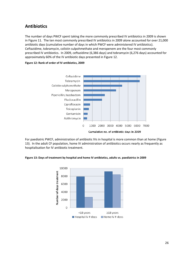### **Antibiotics**

The number of days PWCF spent taking the more commonly prescribed IV antibiotics in 2009 is shown in Figure 11. The ten most commonly prescribed IV antibiotics in 2009 alone accounted for over 21,000 antibiotic days (cumulative number of days in which PWCF were administered IV antibiotics). Ceftazidime, tobramycin, colistin sulpohmethate and meropenem are the four most commonly prescribed IV antibiotics. In 2009, ceftazidime (6,386 days) and tobramycin (6,276 days) accounted for approximately 60% of the IV antibiotic days presented in Figure 12.

#### **Figure 12: Rank of order of IV antibiotics, 2009**



For paediatric PWCF, administration of antibiotic IVs in hospital is more common than at home (Figure 13). In the adult CF population, home IV administration of antibiotics occurs nearly as frequently as hospitalisation for IV antibiotic treatment.

**Figure 13: Days of treatment by hospital and home IV antibiotics, adults vs. paediatrics in 2009** 

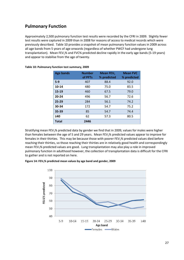### **Pulmonary Function**

Approximately 2,500 pulmonary function test results were recorded by the CFRI in 2009. Slightly fewer test results were captured in 2009 than in 2008 for reasons of access to medical records which were previously described. Table 10 provides a snapshot of mean pulmonary function values in 2009 across all age bands from 5 years of age onwards (regardless of whether PWCF had undergone lung transplantation). Mean FEV<sub>1</sub>% and FVC% predicted decline rapidly in the early age bands (5-19 years) and appear to stabilise from the age of twenty.

| <b>Age bands</b> | <b>Number</b><br>of PFTs | Mean $FEV1$<br>% predicted | <b>Mean FVC</b><br>% predicted |
|------------------|--------------------------|----------------------------|--------------------------------|
| $5-9$            | 407                      | 88.4                       | 92.0                           |
| 10-14            | 480                      | 75.0                       | 83.5                           |
| 15-19            | 460                      | 67.5                       | 79.0                           |
| $20 - 24$        | 496                      | 56.7                       | 72.6                           |
| $25 - 29$        | 284                      | 56.1                       | 74.2                           |
| 30-34            | 172                      | 54.7                       | 75.2                           |
| 35-39            | 85                       | 54.7                       | 74.4                           |
| $\geq 40$        | 62                       | 57.3                       | 80.5                           |
| <b>Total</b>     | 2446                     |                            |                                |

| Table 10: Pulmonary function test summary, 2009 |  |  |
|-------------------------------------------------|--|--|
|-------------------------------------------------|--|--|

Stratifying mean FEV<sub>1</sub>% predicted data by gender we find that in 2009, values for males were higher than females between the age of 5 and 29 years. Mean FEV<sub>1</sub>% predicted values appear to improve for females in their thirties. This may be because those with poorer FEV<sub>1</sub>% predicted values died before reaching their thirties, so those reaching their thirties are in relatively good health and correspondingly mean FEV1% predicted values are good. Lung transplantation may also play a role in improved pulmonary function in adulthood however, the collection of transplantation data is difficult for the CFRI to gather and is not reported on here.

**Figure 14: FEV1% predicted mean values by age band and gender, 2009**

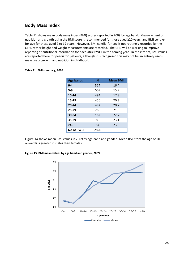### **Body Mass Index**

Table 11 shows mean body mass index (BMI) scores reported in 2009 by age band. Measurement of nutrition and growth using the BMI score is recommended for those aged ≥20 years, and BMI centilefor-age for those aged 2 to 19 years. However, BMI centile-for-age is not routinely recorded by the CFRI, rather height and weight measurements are recorded. The CFRI will be working to improve reporting of nutritional information for paediatric PWCF in the coming year. In the interim, BMI values are reported here for paediatric patients, although it is recognised this may not be an entirely useful measure of growth and nutrition in childhood.

| <b>Age bands</b>  | N    | <b>Mean BMI</b> |
|-------------------|------|-----------------|
| $0 - 4$           | 314  | 16.4            |
| $5-9$             | 509  | 15.9            |
| 10-14             | 494  | 17.8            |
| 15-19             | 456  | 20.3            |
| $20 - 24$         | 482  | 20.7            |
| $25 - 29$         | 266  | 21.5            |
| 30-34             | 162  | 22.7            |
| 35-39             | 83   | 23.1            |
| $\geq 40$         | 54   | 23.6            |
| <b>No of PWCF</b> | 2820 |                 |

#### **Table 11: BMI summary, 2009**

Figure 14 shows mean BMI values in 2009 by age band and gender. Mean BMI from the age of 20 onwards is greater in males than females.

#### **Figure 15: BMI mean values by age band and gender, 2009**

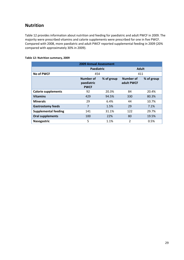### **Nutrition**

Table 12 provides information about nutrition and feeding for paediatric and adult PWCF in 2009. The majority were prescribed vitamins and calorie supplements were prescribed for one in five PWCF. Compared with 2008, more paediatric and adult PWCF reported supplemental feeding in 2009 (20% compared with approximately 30% in 2009).

| Table 12: Nutrition summary, 2009 |  |
|-----------------------------------|--|
|-----------------------------------|--|

| <b>2009 Annual Assessment</b> |                                        |            |                         |            |  |
|-------------------------------|----------------------------------------|------------|-------------------------|------------|--|
|                               | Paediatric                             |            | <b>Adult</b>            |            |  |
| <b>No of PWCF</b>             | 454                                    |            | 411                     |            |  |
|                               | Number of<br>paediatric<br><b>PWCF</b> | % of group | Number of<br>adult PWCF | % of group |  |
| <b>Calorie supplements</b>    | 92                                     | 20.3%      | 84                      | 20.4%      |  |
| <b>Vitamins</b>               | 429                                    | 94.5%      | 330                     | 80.3%      |  |
| <b>Minerals</b>               | 29                                     | 6.4%       | 44                      | 10.7%      |  |
| <b>Gastrostomy feeds</b>      | 7                                      | 1.5%       | 29                      | 7.1%       |  |
| <b>Supplemental feeding</b>   | 141                                    | 31.1%      | 122                     | 29.7%      |  |
| <b>Oral supplements</b>       | 100                                    | 22%        | 80                      | 19.5%      |  |
| <b>Nasogastric</b>            | 5                                      | 1.1%       | $\overline{2}$          | 0.5%       |  |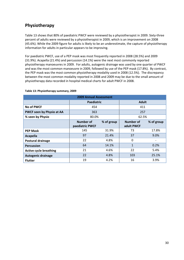### **Physiotherapy**

Table 13 shows that 80% of paediatric PWCF were reviewed by a physiotherapist in 2009. Sixty-three percent of adults were reviewed by a physiotherapist in 2009, which is an improvement on 2008 (45.6%). While the 2009 figure for adults is likely to be an underestimate, the capture of physiotherapy information for adults in particular appears to be improving.

For paediatric PWCF, use of a PEP mask was most frequently reported in 2008 (28.5%) and 2009 (31.9%). Acapella (21.4%) and percussion (14.1%) were the next most commonly reported physiotherapy manoeuvres in 2009. For adults, autogenic drainage was used by one quarter of PWCF and was the most common manoeuvre in 2009, followed by use of the PEP mask (17.8%). By contrast, the PEP mask was the most common physiotherapy modality used in 2008 (12.5%). The discrepancy between the most common modality reported in 2008 and 2009 may be due to the small amount of physiotherapy data recorded in hospital medical charts for adult PWCF in 2008.

| <b>2009 Annual Assessment</b> |                              |            |                         |                          |  |
|-------------------------------|------------------------------|------------|-------------------------|--------------------------|--|
|                               | <b>Paediatric</b>            |            | <b>Adult</b>            |                          |  |
| <b>No of PWCF</b>             | 454                          |            | 411                     |                          |  |
| PWCF seen by Physio at AA     | 363                          |            | 257                     |                          |  |
| % seen by Physio              | 80.0%                        |            | 62.5%                   |                          |  |
|                               | Number of<br>paediatric PWCF | % of group | Number of<br>adult PWCF | % of group               |  |
| <b>PEP Mask</b>               | 145                          | 31.9%      | 73                      | 17.8%                    |  |
| Acapella                      | 97                           | 21.4%      | 37                      | 9.0%                     |  |
| Postural drainage             | 22                           | 4.8%       | $\Omega$                | $\overline{\phantom{a}}$ |  |
| <b>Percussion</b>             | 64                           | 14.1%      | $\mathbf{1}$            | 0.2%                     |  |
| <b>Active cycle breathing</b> | 21                           | 4.6%       | 22                      | 5.4%                     |  |
| <b>Autogenic drainage</b>     | 22                           | 4.8%       | 103                     | 25.1%                    |  |
| <b>Flutter</b>                | 19                           | 4.2%       | 16                      | 3.9%                     |  |

#### **Table 13: Physiotherapy summary, 2009**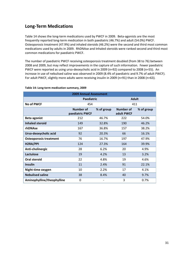### **Long-Term Medications**

Table 14 shows the long-term medications used by PWCF in 2009. Beta-agonists are the most frequently reported long-term medication in both paediatric (46.7%) and adult (54.0%) PWCF. Osteoporosis treatment (47.9%) and inhaled steroids (46.2%) were the second and third most common medications used by adults in 2009. RhDNAse and Inhaled steroids were ranked second and third most common medications for paediatric PWCF.

The number of paediatric PWCF receiving osteoporosis treatment doubled (from 38 to 76) between 2008 and 2009, but may reflect improvements in the capture of such information. Fewer paediatric PWCF were reported as using urso-deoxycholic acid in 2009 (n=92) compared to 2008 (n=55). An increase in use of nebulised saline was observed in 2009 (8.4% of paediatric and 9.7% of adult PWCF). For adult PWCF, slightly more adults were receiving insulin in 2009 (n=91) than in 2008 (n=63).

| <b>2009 Annual Assessment</b> |                                     |            |                                |            |  |  |
|-------------------------------|-------------------------------------|------------|--------------------------------|------------|--|--|
|                               | Paediatric                          |            | <b>Adult</b>                   |            |  |  |
| <b>No of PWCF</b>             | 454                                 |            | 411                            |            |  |  |
|                               | <b>Number of</b><br>paediatric PWCF | % of group | <b>Number of</b><br>adult PWCF | % of group |  |  |
| <b>Beta agonist</b>           | 212                                 | 46.7%      | 222                            | 54.0%      |  |  |
| <b>Inhaled steroid</b>        | 149                                 | 32.8%      | 190                            | 46.2%      |  |  |
| rhDNAse                       | 167                                 | 36.8%      | 157                            | 38.2%      |  |  |
| Urso-deoxycholic acid         | 92                                  | 20.3%      | 66                             | 16.1%      |  |  |
| <b>Osteoporosis treatment</b> | 76                                  | 16.7%      | 197                            | 47.9%      |  |  |
| H2RA/PPI                      | 124                                 | 27.3%      | 164                            | 39.9%      |  |  |
| Anti-cholinergic              | 28                                  | 6.2%       | 20                             | 4.9%       |  |  |
| Lactulose                     | 19                                  | 4.2%       | 13                             | 3.2%       |  |  |
| <b>Oral steroid</b>           | 22                                  | 4.8%       | 19                             | 4.6%       |  |  |
| <b>Insulin</b>                | 11                                  | 2.4%       | 91                             | 22.1%      |  |  |
| Night-time oxygen             | 10                                  | 2.2%       | 17                             | 4.1%       |  |  |
| <b>Nebulised saline</b>       | 38                                  | 8.4%       | 40                             | 9.7%       |  |  |
| Aminophylline/theophylline    | $\Omega$                            |            | 3                              | 0.7%       |  |  |

#### **Table 14: Long-term medication summary, 2009**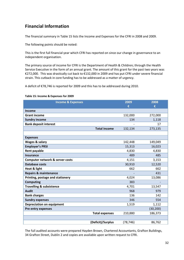### **Financial Information**

The financial summary in Table 15 lists the Income and Expenses for the CFRI in 2008 and 2009.

The following points should be noted:

This is the first full financial year which CFRI has reported on since our change in governance to an independent organisation.

The primary source of income for CFRI is the Department of Health & Children; through the Health Service Executive in the form of an annual grant. The amount of this grant for the past two years was €272,000. This was drastically cut back to €132,000 in 2009 and has put CFRI under severe financial strain. This cutback in core funding has to be addressed as a matter of urgency.

A deficit of €78,746 is reported for 2009 and this has to be addressed during 2010.

#### **Table 15: Income & Expenses for 2009**

| <b>Income &amp; Expenses</b>        |                       | 2009<br>€ | 2008<br>€ |
|-------------------------------------|-----------------------|-----------|-----------|
| <b>Income</b>                       |                       |           |           |
| <b>Grant income</b>                 |                       | 132,000   | 272,000   |
| <b>Sundry income</b>                |                       | 134       | 1,118     |
| <b>Bank deposit interest</b>        |                       |           | 17        |
|                                     | <b>Total income</b>   | 132,134   | 273,135   |
|                                     |                       |           |           |
| <b>Expenses</b>                     |                       |           |           |
| Wages & salary                      |                       | 142,448   | 149,049   |
| <b>Employer's PRSI</b>              |                       | 15,313    | 16,023    |
| <b>Rent payable</b>                 |                       | 4,830     | 4,830     |
| <b>Insurance</b>                    |                       | 489       | 485       |
| Computer network & server costs     |                       | 4,151     | 3,153     |
| <b>Database costs</b>               |                       | 30,910    | 12,520    |
| <b>Heat &amp; light</b>             |                       | 662       | 662       |
| <b>Repairs &amp; maintenance</b>    |                       |           | 431       |
| Printing, postage and stationery    |                       | 4,024     | 13,086    |
| <b>Computing</b>                    |                       | 383       |           |
| <b>Travelling &amp; subsistence</b> |                       | 4,701     | 13,547    |
| <b>Audit</b>                        |                       | 968       | 979       |
| <b>Bank charges</b>                 |                       | 136       | 142       |
| <b>Sundry expenses</b>              |                       | 346       | 554       |
| <b>Depreciation on equipment</b>    |                       | 1,519     | 1,112     |
| Pre entry expenses                  |                       |           | (30, 200) |
|                                     | <b>Total expenses</b> | 210,880   | 186,373   |
|                                     |                       |           |           |
|                                     | (Deficit)/Surplus     | (78, 746) | 86,762    |

The full audited accounts were prepared Hayden Brown, Chartered Accountants, Grafton Buildings, 34 Grafton Street, Dublin 2 and copies are available upon written request to CFRI.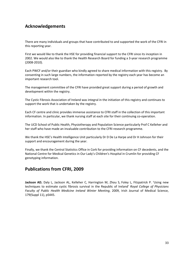### **Acknowledgements**

There are many individuals and groups that have contributed to and supported the work of the CFRI in this reporting year.

First we would like to thank the HSE for providing financial support to the CFRI since its inception in 2002. We would also like to thank the Health Research Board for funding a 3-year research programme (2008-2010).

Each PWCF and/or their guardian who kindly agreed to share medical information with this registry. By consenting in such large numbers, the information reported by the registry each year has become an important research tool.

The management committee of the CFRI have provided great support during a period of growth and development within the registry.

The Cystic Fibrosis Association of Ireland was integral in the initiation of this registry and continues to support the work that is undertaken by the registry.

Each CF centre and clinic provides immense assistance to CFRI staff in the collection of this important information. In particular, we thank nursing staff at each site for their continuing co-operation.

The UCD School of Public Health, Physiotherapy and Population Science particularly Prof C Kelleher and her staff who have made an invaluable contribution to the CFRI research programme.

We thank the HSE's Health Intelligence Unit particularly Dr D De La Harpe and Dr H Johnson for their support and encouragement during the year.

Finally, we thank the Central Statistics Office in Cork for providing information on CF decedents, and the National Centre for Medical Genetics in Our Lady's Children's Hospital in Crumlin for providing CF genotyping information.

#### **Publications from CFRI, 2009**

**Jackson AD**, Daly L, Jackson AL, Kelleher C, Harrington M, Zhou S, Foley L, Fitzpatrick P. 'Using new techniques to estimate cystic fibrosis survival in the Republic of Ireland' *Royal College of Physicians Faculty of Public Health Medicine Ireland Winter Meeting*, 2009, Irish Journal of Medical Science, 179(Suppl 11), pS445.